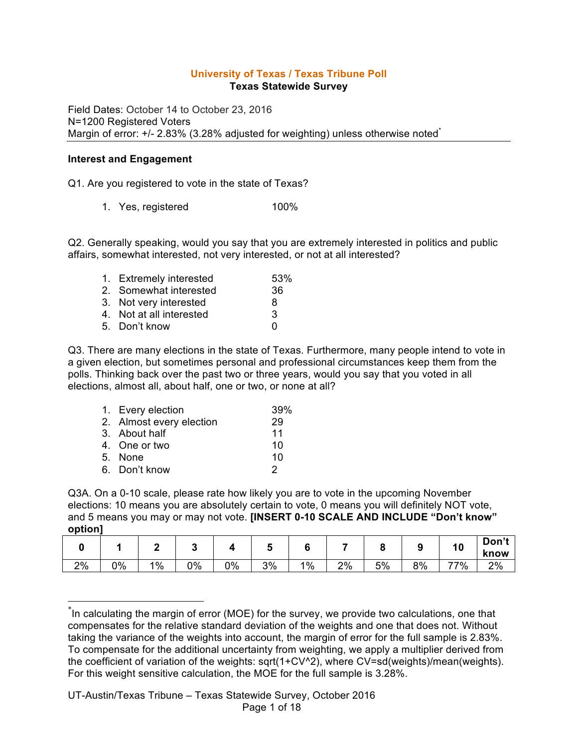## **University of Texas / Texas Tribune Poll Texas Statewide Survey**

Field Dates: October 14 to October 23, 2016 N=1200 Registered Voters Margin of error: +/- 2.83% (3.28% adjusted for weighting) unless otherwise noted<sup>\*</sup>

### **Interest and Engagement**

Q1. Are you registered to vote in the state of Texas?

1. Yes, registered 100%

Q2. Generally speaking, would you say that you are extremely interested in politics and public affairs, somewhat interested, not very interested, or not at all interested?

| 53%                                                                                                                      |
|--------------------------------------------------------------------------------------------------------------------------|
| 36                                                                                                                       |
| 8                                                                                                                        |
| 3                                                                                                                        |
| n                                                                                                                        |
| 1. Extremely interested<br>2. Somewhat interested<br>3. Not very interested<br>4. Not at all interested<br>5. Don't know |

Q3. There are many elections in the state of Texas. Furthermore, many people intend to vote in a given election, but sometimes personal and professional circumstances keep them from the polls. Thinking back over the past two or three years, would you say that you voted in all elections, almost all, about half, one or two, or none at all?

| 1. Every election        | 39% |
|--------------------------|-----|
| 2. Almost every election | 29  |
| 3. About half            | 11  |
| 4. One or two            | 10  |
| 5. None                  | 10  |
| 6. Don't know            | 2   |

Q3A. On a 0-10 scale, please rate how likely you are to vote in the upcoming November elections: 10 means you are absolutely certain to vote, 0 means you will definitely NOT vote, and 5 means you may or may not vote. **[INSERT 0-10 SCALE AND INCLUDE "Don't know" option]**

|    |    |       |    |    |    |       |    |    |    | 1 V | Don't<br>know |
|----|----|-------|----|----|----|-------|----|----|----|-----|---------------|
| 2% | 0% | $1\%$ | 0% | 0% | 3% | $1\%$ | 2% | 5% | 8% | 77% | 2%            |

 <sup>\*</sup> In calculating the margin of error (MOE) for the survey, we provide two calculations, one that compensates for the relative standard deviation of the weights and one that does not. Without taking the variance of the weights into account, the margin of error for the full sample is 2.83%. To compensate for the additional uncertainty from weighting, we apply a multiplier derived from the coefficient of variation of the weights: sqrt(1+CV^2), where CV=sd(weights)/mean(weights). For this weight sensitive calculation, the MOE for the full sample is 3.28%.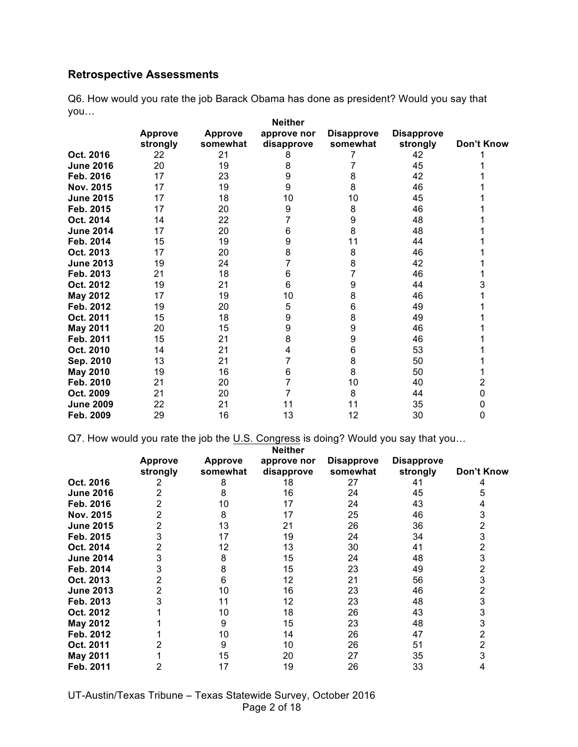# **Retrospective Assessments**

Q6. How would you rate the job Barack Obama has done as president? Would you say that you… **Neither** 

|                  |                            |                            | neither                   |                               |                               |            |
|------------------|----------------------------|----------------------------|---------------------------|-------------------------------|-------------------------------|------------|
|                  | <b>Approve</b><br>strongly | <b>Approve</b><br>somewhat | approve nor<br>disapprove | <b>Disapprove</b><br>somewhat | <b>Disapprove</b><br>strongly | Don't Know |
| Oct. 2016        | 22                         | 21                         | 8                         |                               | 42                            |            |
| <b>June 2016</b> | 20                         | 19                         | 8                         |                               | 45                            |            |
| Feb. 2016        | 17                         | 23                         | 9                         | 8                             | 42                            |            |
| Nov. 2015        | 17                         | 19                         | 9                         | 8                             | 46                            |            |
| <b>June 2015</b> | 17                         | 18                         | 10                        | 10                            | 45                            |            |
| Feb. 2015        | 17                         | 20                         | 9                         | 8                             | 46                            |            |
| Oct. 2014        | 14                         | 22                         |                           | 9                             | 48                            |            |
| <b>June 2014</b> | 17                         | 20                         | 6                         | 8                             | 48                            |            |
| Feb. 2014        | 15                         | 19                         | 9                         | 11                            | 44                            |            |
| Oct. 2013        | 17                         | 20                         | 8                         | 8                             | 46                            |            |
| <b>June 2013</b> | 19                         | 24                         |                           | 8                             | 42                            |            |
| Feb. 2013        | 21                         | 18                         | 6                         |                               | 46                            |            |
| Oct. 2012        | 19                         | 21                         | 6                         | 9                             | 44                            | 3          |
| May 2012         | 17                         | 19                         | 10                        | 8                             | 46                            |            |
| Feb. 2012        | 19                         | 20                         | 5                         | 6                             | 49                            |            |
| Oct. 2011        | 15                         | 18                         | 9                         | 8                             | 49                            |            |
| <b>May 2011</b>  | 20                         | 15                         | 9                         | 9                             | 46                            |            |
| Feb. 2011        | 15                         | 21                         | 8                         | 9                             | 46                            |            |
| Oct. 2010        | 14                         | 21                         | 4                         | 6                             | 53                            |            |
| Sep. 2010        | 13                         | 21                         |                           | 8                             | 50                            |            |
| <b>May 2010</b>  | 19                         | 16                         | 6                         | 8                             | 50                            |            |
| Feb. 2010        | 21                         | 20                         |                           | 10                            | 40                            | 2          |
| Oct. 2009        | 21                         | 20                         |                           | 8                             | 44                            | 0          |
| <b>June 2009</b> | 22                         | 21                         | 11                        | 11                            | 35                            | 0          |
| Feb. 2009        | 29                         | 16                         | 13                        | 12                            | 30                            | 0          |

Q7. How would you rate the job the U.S. Congress is doing? Would you say that you...

|                  |                |                | <b>Neither</b> |                   |                   |            |
|------------------|----------------|----------------|----------------|-------------------|-------------------|------------|
|                  | <b>Approve</b> | <b>Approve</b> | approve nor    | <b>Disapprove</b> | <b>Disapprove</b> |            |
|                  | strongly       | somewhat       | disapprove     | somewhat          | strongly          | Don't Know |
| Oct. 2016        |                | 8              | 18             | 27                | 41                |            |
| <b>June 2016</b> |                | 8              | 16             | 24                | 45                |            |
| Feb. 2016        |                | 10             | 17             | 24                | 43                |            |
| <b>Nov. 2015</b> |                | 8              | 17             | 25                | 46                |            |
| <b>June 2015</b> |                | 13             | 21             | 26                | 36                |            |
| Feb. 2015        |                | 17             | 19             | 24                | 34                | 3          |
| Oct. 2014        |                | 12             | 13             | 30                | 41                |            |
| <b>June 2014</b> |                | 8              | 15             | 24                | 48                | 3          |
| Feb. 2014        |                | 8              | 15             | 23                | 49                | 2          |
| Oct. 2013        |                | 6              | 12             | 21                | 56                | 3          |
| <b>June 2013</b> |                | 10             | 16             | 23                | 46                | 2          |
| Feb. 2013        |                | 11             | 12             | 23                | 48                | 3          |
| Oct. 2012        |                | 10             | 18             | 26                | 43                | 3          |
| <b>May 2012</b>  |                | 9              | 15             | 23                | 48                | 3          |
| Feb. 2012        |                | 10             | 14             | 26                | 47                | 2          |
| Oct. 2011        |                | 9              | 10             | 26                | 51                | 2          |
| <b>May 2011</b>  |                | 15             | 20             | 27                | 35                |            |
| Feb. 2011        |                | 17             | 19             | 26                | 33                |            |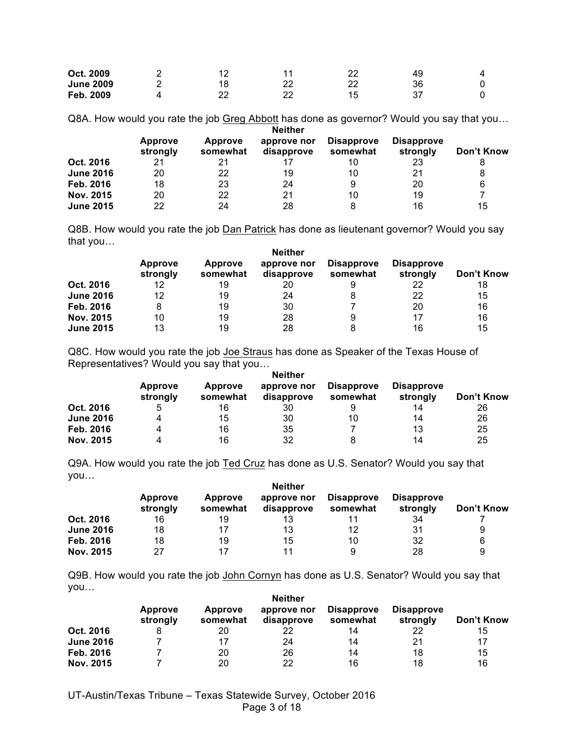| Oct. 2009        | 10 |           | າາ      | 49 |  |
|------------------|----|-----------|---------|----|--|
| <b>June 2009</b> | 18 | nr<br>ے   | າາ<br>ے | 36 |  |
| Feb. 2009        | າາ | ົດຕ<br>ے۔ |         |    |  |

Q8A. How would you rate the job Greg Abbott has done as governor? Would you say that you… **Neither** 

|                  | Approve<br>strongly | Approve<br>somewhat | .<br>approve nor<br>disapprove | <b>Disapprove</b><br>somewhat | <b>Disapprove</b><br>strongly | Don't Know |
|------------------|---------------------|---------------------|--------------------------------|-------------------------------|-------------------------------|------------|
| Oct. 2016        | 21                  | 21                  |                                | 10                            | 23                            |            |
| <b>June 2016</b> | 20                  | 22                  | 19                             | 10                            | 21                            | 8          |
| Feb. 2016        | 18                  | 23                  | 24                             | 9                             | 20                            | 6          |
| Nov. 2015        | 20                  | 22                  | 21                             | 10                            | 19                            |            |
| <b>June 2015</b> | 22                  | 24                  | 28                             | 8                             | 16                            | 15         |

Q8B. How would you rate the job Dan Patrick has done as lieutenant governor? Would you say that you…

|                  | <b>Approve</b><br>strongly | Approve<br>somewhat | <b>Neither</b><br>approve nor<br>disapprove | <b>Disapprove</b><br>somewhat | <b>Disapprove</b><br>strongly | Don't Know |
|------------------|----------------------------|---------------------|---------------------------------------------|-------------------------------|-------------------------------|------------|
| Oct. 2016        | 12                         | 19                  | 20                                          | 9                             | 22                            | 18         |
| <b>June 2016</b> | 12                         | 19                  | 24                                          | 8                             | 22                            | 15         |
| Feb. 2016        | 8                          | 19                  | 30                                          |                               | 20                            | 16         |
| Nov. 2015        | 10                         | 19                  | 28                                          | 9                             | 17                            | 16         |
| <b>June 2015</b> | 13                         | 19                  | 28                                          | 8                             | 16                            | 15         |

Q8C. How would you rate the job Joe Straus has done as Speaker of the Texas House of Representatives? Would you say that you…

|                  | <b>Approve</b><br>strongly | Approve<br>somewhat | approve nor<br>disapprove | <b>Disapprove</b><br>somewhat | <b>Disapprove</b><br>strongly | Don't Know |
|------------------|----------------------------|---------------------|---------------------------|-------------------------------|-------------------------------|------------|
| Oct. 2016        | 5                          | 16                  | 30                        | 9                             | 14                            | 26         |
| <b>June 2016</b> | 4                          | 15                  | 30                        | 10                            | 14                            | 26         |
| Feb. 2016        |                            | 16                  | 35                        |                               | 13                            | 25         |
| Nov. 2015        |                            | 16                  | 32                        | 8                             | 14                            | 25         |

Q9A. How would you rate the job Ted Cruz has done as U.S. Senator? Would you say that you…

|                  | <b>Neither</b>             |                     |                           |                               |                               |            |  |  |
|------------------|----------------------------|---------------------|---------------------------|-------------------------------|-------------------------------|------------|--|--|
|                  | <b>Approve</b><br>strongly | Approve<br>somewhat | approve nor<br>disapprove | <b>Disapprove</b><br>somewhat | <b>Disapprove</b><br>strongly | Don't Know |  |  |
| Oct. 2016        | 16                         | 19                  | 13                        |                               | 34                            |            |  |  |
| <b>June 2016</b> | 18                         | 17                  | 13                        | 12                            | 31                            | 9          |  |  |
| Feb. 2016        | 18                         | 19                  | 15                        | 10                            | 32                            | 6          |  |  |
| Nov. 2015        | 27                         | 17                  | 11                        | 9                             | 28                            | 9          |  |  |

Q9B. How would you rate the job John Cornyn has done as U.S. Senator? Would you say that you…

|                  | <b>Neither</b>             |                     |                           |                               |                               |            |  |  |
|------------------|----------------------------|---------------------|---------------------------|-------------------------------|-------------------------------|------------|--|--|
|                  | <b>Approve</b><br>strongly | Approve<br>somewhat | approve nor<br>disapprove | <b>Disapprove</b><br>somewhat | <b>Disapprove</b><br>strongly | Don't Know |  |  |
| Oct. 2016        |                            | 20                  | 22                        | 14                            | 22                            | 15         |  |  |
| <b>June 2016</b> |                            | 17                  | 24                        | 14                            | 21                            | 17         |  |  |
| Feb. 2016        |                            | 20                  | 26                        | 14                            | 18                            | 15         |  |  |
| Nov. 2015        |                            | 20                  | 22                        | 16                            | 18                            | 16         |  |  |

UT-Austin/Texas Tribune – Texas Statewide Survey, October 2016 Page 3 of 18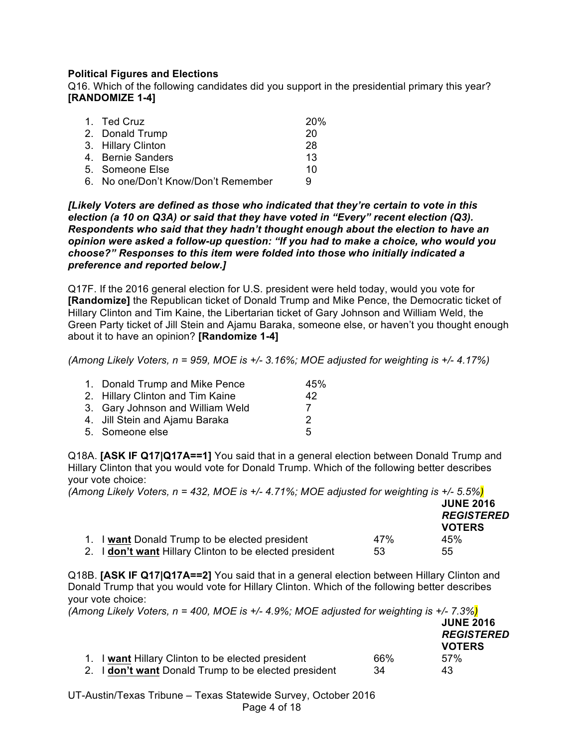## **Political Figures and Elections**

Q16. Which of the following candidates did you support in the presidential primary this year? **[RANDOMIZE 1-4]**

| 1. Ted Cruz                         | <b>20%</b> |
|-------------------------------------|------------|
| 2. Donald Trump                     | 20         |
| 3. Hillary Clinton                  | 28         |
| 4. Bernie Sanders                   | 13         |
| 5. Someone Else                     | 10         |
| 6. No one/Don't Know/Don't Remember | 9          |

*[Likely Voters are defined as those who indicated that they're certain to vote in this election (a 10 on Q3A) or said that they have voted in "Every" recent election (Q3). Respondents who said that they hadn't thought enough about the election to have an opinion were asked a follow-up question: "If you had to make a choice, who would you choose?" Responses to this item were folded into those who initially indicated a preference and reported below.]*

Q17F. If the 2016 general election for U.S. president were held today, would you vote for **[Randomize]** the Republican ticket of Donald Trump and Mike Pence, the Democratic ticket of Hillary Clinton and Tim Kaine, the Libertarian ticket of Gary Johnson and William Weld, the Green Party ticket of Jill Stein and Ajamu Baraka, someone else, or haven't you thought enough about it to have an opinion? **[Randomize 1-4]**

*(Among Likely Voters, n = 959, MOE is +/- 3.16%; MOE adjusted for weighting is +/- 4.17%)*

| 1. Donald Trump and Mike Pence   | 45% |
|----------------------------------|-----|
| 2. Hillary Clinton and Tim Kaine | 42  |
| 3. Gary Johnson and William Weld | 7   |
| 4. Jill Stein and Ajamu Baraka   | 2   |
| 5. Someone else                  | 5   |

Q18A. **[ASK IF Q17|Q17A==1]** You said that in a general election between Donald Trump and Hillary Clinton that you would vote for Donald Trump. Which of the following better describes your vote choice:

| (Among Likely Voters, $n = 432$ , MOE is +/- 4.71%; MOE adjusted for weighting is +/- 5.5%) |     | <b>JUNE 2016</b>                   |
|---------------------------------------------------------------------------------------------|-----|------------------------------------|
|                                                                                             |     | <b>REGISTERED</b><br><b>VOTERS</b> |
| 1. I want Donald Trump to be elected president                                              | 47% | 45%                                |
| 2. I don't want Hillary Clinton to be elected president                                     | 53  | 55                                 |

Q18B. **[ASK IF Q17|Q17A==2]** You said that in a general election between Hillary Clinton and Donald Trump that you would vote for Hillary Clinton. Which of the following better describes your vote choice:

*(Among Likely Voters, n = 400, MOE is +/- 4.9%; MOE adjusted for weighting is +/- 7.3%)*

|                                                      |     | <b>JUNE 2016</b>  |
|------------------------------------------------------|-----|-------------------|
|                                                      |     | <b>REGISTERED</b> |
|                                                      |     | <b>VOTERS</b>     |
| 1. I want Hillary Clinton to be elected president    | 66% | $57\%$            |
| 2. I don't want Donald Trump to be elected president | 34  | 43                |

UT-Austin/Texas Tribune – Texas Statewide Survey, October 2016 Page 4 of 18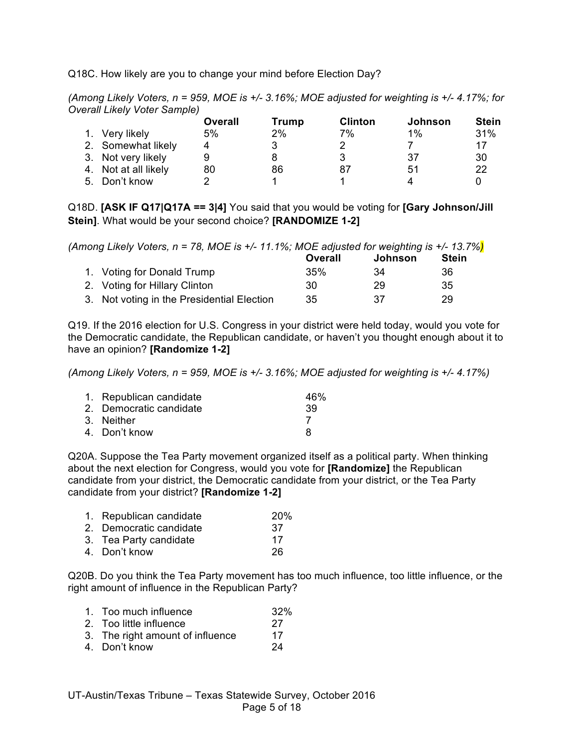Q18C. How likely are you to change your mind before Election Day?

*(Among Likely Voters, n = 959, MOE is +/- 3.16%; MOE adjusted for weighting is +/- 4.17%; for Overall Likely Voter Sample)*

|                      | Overall | Trump | <b>Clinton</b> | Johnson | <b>Stein</b> |
|----------------------|---------|-------|----------------|---------|--------------|
| 1. Very likely       | 5%      | 2%    | 7%             | $1\%$   | 31%          |
| 2. Somewhat likely   |         |       |                |         | 17           |
| 3. Not very likely   |         |       |                | 37      | 30           |
| 4. Not at all likely | 80      | 86    | 87             | 51      | 22           |
| 5. Don't know        |         |       |                |         |              |

Q18D. **[ASK IF Q17|Q17A == 3|4]** You said that you would be voting for **[Gary Johnson/Jill Stein]**. What would be your second choice? **[RANDOMIZE 1-2]**

| (Among Likely Voters, n = 78, MOE is +/- 11.1%; MOE adjusted for weighting is +/- 13.7%) |         |                |       |
|------------------------------------------------------------------------------------------|---------|----------------|-------|
|                                                                                          | Overall | <b>Johnson</b> | Stein |
| 1. Voting for Donald Trump                                                               | 35%     | 34             | 36    |
| 2. Voting for Hillary Clinton                                                            | 30      | 29             | 35    |
| 3. Not voting in the Presidential Election                                               | 35      | 37             | 29    |

Q19. If the 2016 election for U.S. Congress in your district were held today, would you vote for the Democratic candidate, the Republican candidate, or haven't you thought enough about it to have an opinion? **[Randomize 1-2]**

*(Among Likely Voters, n = 959, MOE is +/- 3.16%; MOE adjusted for weighting is +/- 4.17%)*

| 1. Republican candidate | 46% |
|-------------------------|-----|
| 2. Democratic candidate | -39 |
| 3. Neither              |     |
| 4. Don't know           | я   |

Q20A. Suppose the Tea Party movement organized itself as a political party. When thinking about the next election for Congress, would you vote for **[Randomize]** the Republican candidate from your district, the Democratic candidate from your district, or the Tea Party candidate from your district? **[Randomize 1-2]**

| 1. Republican candidate | <b>20%</b> |
|-------------------------|------------|
| 2. Democratic candidate | 37         |
| 3. Tea Party candidate  | 17         |
| 4. Don't know           | 26         |
|                         |            |

Q20B. Do you think the Tea Party movement has too much influence, too little influence, or the right amount of influence in the Republican Party?

| 1. Too much influence            | 32% |
|----------------------------------|-----|
| 2. Too little influence          | -27 |
| 3. The right amount of influence | 17  |
| 4. Don't know                    | 24  |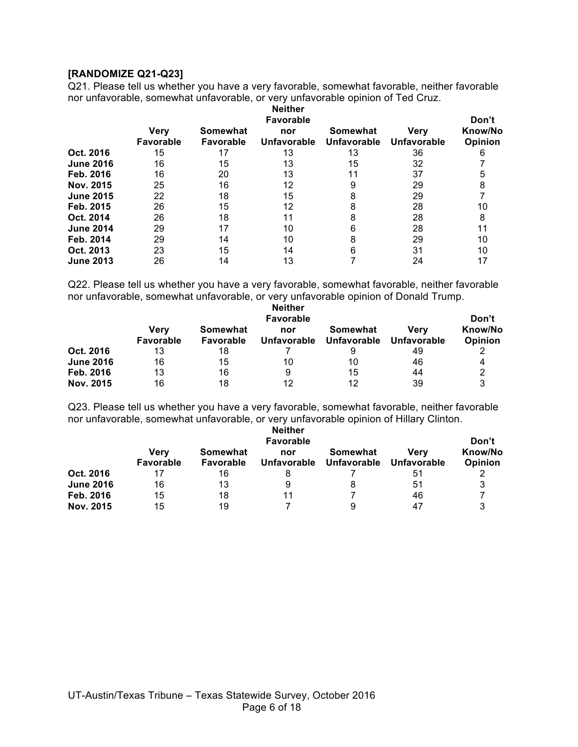## **[RANDOMIZE Q21-Q23]**

Q21. Please tell us whether you have a very favorable, somewhat favorable, neither favorable nor unfavorable, somewhat unfavorable, or very unfavorable opinion of Ted Cruz.

|                  |                          | <b>Neither</b><br><b>Favorable</b> |                    |                                       |                            |                    |  |  |
|------------------|--------------------------|------------------------------------|--------------------|---------------------------------------|----------------------------|--------------------|--|--|
|                  | Verv<br><b>Favorable</b> | Somewhat<br><b>Favorable</b>       | nor<br>Unfavorable | <b>Somewhat</b><br><b>Unfavorable</b> | <b>Verv</b><br>Unfavorable | Know/No<br>Opinion |  |  |
| Oct. 2016        | 15                       | 17                                 | 13                 | 13                                    | 36                         | 6                  |  |  |
| <b>June 2016</b> | 16                       | 15                                 | 13                 | 15                                    | 32                         |                    |  |  |
| Feb. 2016        | 16                       | 20                                 | 13                 |                                       | 37                         | 5                  |  |  |
| Nov. 2015        | 25                       | 16                                 | 12                 | 9                                     | 29                         |                    |  |  |
| <b>June 2015</b> | 22                       | 18                                 | 15                 | 8                                     | 29                         |                    |  |  |
| Feb. 2015        | 26                       | 15                                 | 12                 | 8                                     | 28                         | 10                 |  |  |
| Oct. 2014        | 26                       | 18                                 | 11                 | 8                                     | 28                         | 8                  |  |  |
| <b>June 2014</b> | 29                       | 17                                 | 10                 | 6                                     | 28                         |                    |  |  |
| Feb. 2014        | 29                       | 14                                 | 10                 | 8                                     | 29                         | 10                 |  |  |
| Oct. 2013        | 23                       | 15                                 | 14                 | 6                                     | 31                         | 10                 |  |  |
| <b>June 2013</b> | 26                       | 14                                 | 13                 |                                       | 24                         |                    |  |  |

Q22. Please tell us whether you have a very favorable, somewhat favorable, neither favorable nor unfavorable, somewhat unfavorable, or very unfavorable opinion of Donald Trump.

|                  | <b>Neither</b><br><b>Favorable</b> |                       |                    |                                |                            |                    |  |
|------------------|------------------------------------|-----------------------|--------------------|--------------------------------|----------------------------|--------------------|--|
|                  | Verv<br>Favorable                  | Somewhat<br>Favorable | nor<br>Unfavorable | Somewhat<br><b>Unfavorable</b> | Verv<br><b>Unfavorable</b> | Know/No<br>Opinion |  |
| Oct. 2016        | 13                                 | 18                    |                    | 9                              | 49                         |                    |  |
| <b>June 2016</b> | 16                                 | 15                    | 10                 | 10                             | 46                         | 4                  |  |
| Feb. 2016        | 13                                 | 16                    | 9                  | 15                             | 44                         |                    |  |
| Nov. 2015        | 16                                 | 18                    | 12                 | 12                             | 39                         | 3                  |  |

Q23. Please tell us whether you have a very favorable, somewhat favorable, neither favorable nor unfavorable, somewhat unfavorable, or very unfavorable opinion of Hillary Clinton.

|                  | <b>Neither</b><br><b>Favorable</b> |                              |                    |                                |                     |                    |  |
|------------------|------------------------------------|------------------------------|--------------------|--------------------------------|---------------------|--------------------|--|
|                  | <b>Very</b><br>Favorable           | Somewhat<br><b>Favorable</b> | nor<br>Unfavorable | Somewhat<br><b>Unfavorable</b> | Verv<br>Unfavorable | Know/No<br>Opinion |  |
| Oct. 2016        | 17                                 | 16                           |                    |                                | 51                  |                    |  |
| <b>June 2016</b> | 16                                 | 13                           |                    |                                | 51                  |                    |  |
| Feb. 2016        | 15                                 | 18                           | 11                 |                                | 46                  |                    |  |
| Nov. 2015        | 15                                 | 19                           |                    | 9                              | 47                  |                    |  |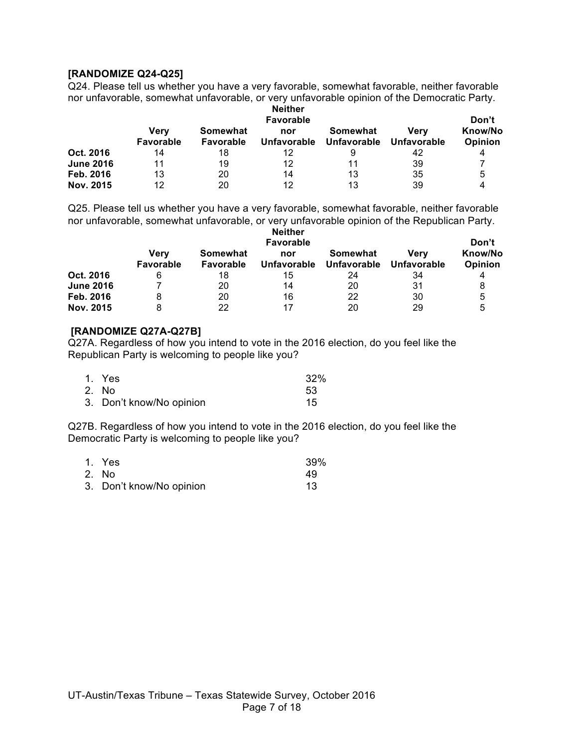### **[RANDOMIZE Q24-Q25]**

Q24. Please tell us whether you have a very favorable, somewhat favorable, neither favorable nor unfavorable, somewhat unfavorable, or very unfavorable opinion of the Democratic Party.

|                  | <b>Neither</b><br><b>Favorable</b> |                              |                    |                                |                     |                    |  |
|------------------|------------------------------------|------------------------------|--------------------|--------------------------------|---------------------|--------------------|--|
|                  | Verv<br>Favorable                  | Somewhat<br><b>Favorable</b> | nor<br>Unfavorable | Somewhat<br><b>Unfavorable</b> | Verv<br>Unfavorable | Know/No<br>Opinion |  |
| Oct. 2016        | 14                                 | 18                           | 12                 | 9                              | 42                  | 4                  |  |
| <b>June 2016</b> | 11                                 | 19                           | 12                 | 11                             | 39                  |                    |  |
| Feb. 2016        | 13                                 | 20                           | 14                 | 13                             | 35                  | 5                  |  |
| Nov. 2015        | 12                                 | 20                           | 12                 | 13                             | 39                  |                    |  |

Q25. Please tell us whether you have a very favorable, somewhat favorable, neither favorable nor unfavorable, somewhat unfavorable, or very unfavorable opinion of the Republican Party. **Neither** 

|                  | RERIGI<br><b>Favorable</b> |                       |                           |                                |                            | Don't              |
|------------------|----------------------------|-----------------------|---------------------------|--------------------------------|----------------------------|--------------------|
|                  | Verv<br>Favorable          | Somewhat<br>Favorable | nor<br><b>Unfavorable</b> | Somewhat<br><b>Unfavorable</b> | Verv<br><b>Unfavorable</b> | Know/No<br>Opinion |
| Oct. 2016        | 6                          | 18                    | 15                        | 24                             | 34                         |                    |
| <b>June 2016</b> |                            | 20                    | 14                        | 20                             | 31                         |                    |
| Feb. 2016        |                            | 20                    | 16                        | 22                             | 30                         | 5                  |
| Nov. 2015        |                            | 22                    | 17                        | 20                             | 29                         | 5                  |

## **[RANDOMIZE Q27A-Q27B]**

Q27A. Regardless of how you intend to vote in the 2016 election, do you feel like the Republican Party is welcoming to people like you?

| 1. Yes                   | 32%  |
|--------------------------|------|
| 2. No                    | -53- |
| 3. Don't know/No opinion | 15   |

Q27B. Regardless of how you intend to vote in the 2016 election, do you feel like the Democratic Party is welcoming to people like you?

| 1. Yes                   | 39% |
|--------------------------|-----|
| 2. No                    | 49  |
| 3. Don't know/No opinion | 13  |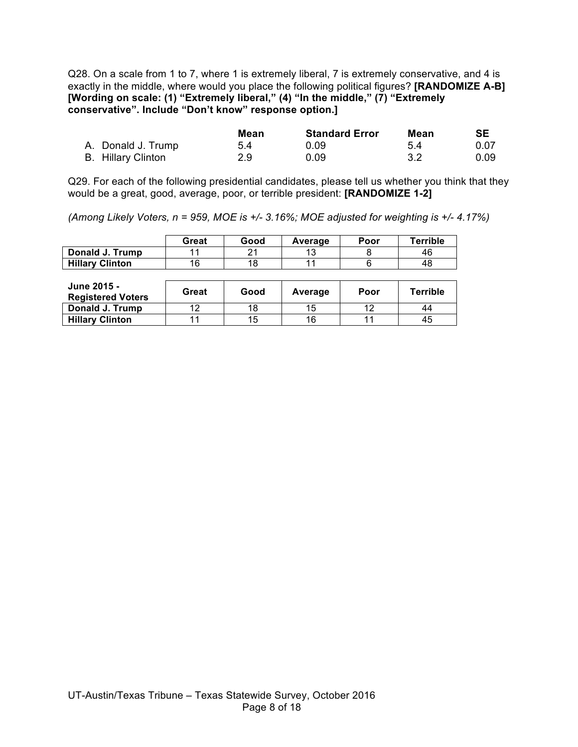Q28. On a scale from 1 to 7, where 1 is extremely liberal, 7 is extremely conservative, and 4 is exactly in the middle, where would you place the following political figures? **[RANDOMIZE A-B] [Wording on scale: (1) "Extremely liberal," (4) "In the middle," (7) "Extremely conservative". Include "Don't know" response option.]**

|                    | Mean | <b>Standard Error</b> | Mean | <b>SE</b> |
|--------------------|------|-----------------------|------|-----------|
| A. Donald J. Trump | 5.4  | 0.09                  | .54  | 0.07      |
| B. Hillary Clinton | 2.9  | 0.09                  | -3.2 | 0.09      |

Q29. For each of the following presidential candidates, please tell us whether you think that they would be a great, good, average, poor, or terrible president: **[RANDOMIZE 1-2]**

*(Among Likely Voters, n = 959, MOE is +/- 3.16%; MOE adjusted for weighting is +/- 4.17%)*

|                        | Great | Good | Average | Poor | Terrible |
|------------------------|-------|------|---------|------|----------|
| Donald J. Trump        |       | າ 1  |         |      | 46       |
| <b>Hillary Clinton</b> | 16    | 18   |         |      | 48       |

| June 2015 -<br><b>Registered Voters</b> | Great | Good | Average | Poor | <b>Terrible</b> |
|-----------------------------------------|-------|------|---------|------|-----------------|
| Donald J. Trump                         | 12    | 18   | 15      | 10   | 44              |
| <b>Hillary Clinton</b>                  |       | 15   | 16      |      | 45              |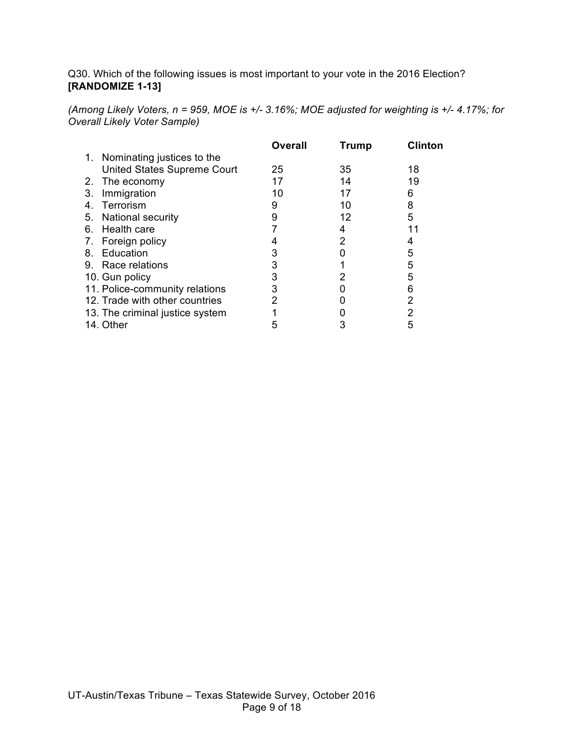Q30. Which of the following issues is most important to your vote in the 2016 Election? **[RANDOMIZE 1-13]**

*(Among Likely Voters, n = 959, MOE is +/- 3.16%; MOE adjusted for weighting is +/- 4.17%; for Overall Likely Voter Sample)*

|    |                                 | <b>Overall</b> | <b>Trump</b> | <b>Clinton</b> |
|----|---------------------------------|----------------|--------------|----------------|
|    | 1. Nominating justices to the   |                |              |                |
|    | United States Supreme Court     | 25             | 35           | 18             |
|    | 2. The economy                  | 17             | 14           | 19             |
| 3. | Immigration                     | 10             | 17           | 6              |
| 4. | Terrorism                       | 9              | 10           | 8              |
|    | 5. National security            | 9              | 12           | 5              |
|    | 6. Health care                  |                |              |                |
| 7. | Foreign policy                  |                |              |                |
| 8. | Education                       |                |              | 5              |
|    | 9. Race relations               |                |              | 5              |
|    | 10. Gun policy                  |                |              | 5              |
|    | 11. Police-community relations  |                |              | 6              |
|    | 12. Trade with other countries  |                |              | 2              |
|    | 13. The criminal justice system |                |              | 2              |
|    | 14. Other                       |                |              |                |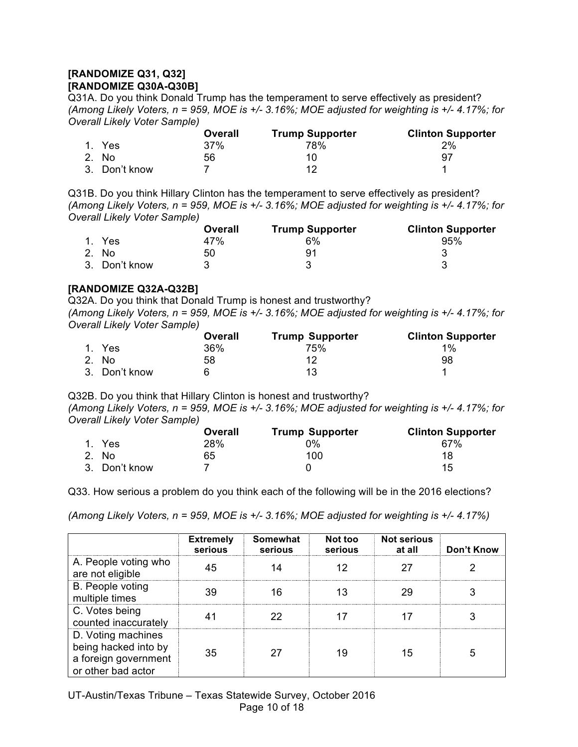## **[RANDOMIZE Q31, Q32] [RANDOMIZE Q30A-Q30B]**

Q31A. Do you think Donald Trump has the temperament to serve effectively as president? *(Among Likely Voters, n = 959, MOE is +/- 3.16%; MOE adjusted for weighting is +/- 4.17%; for Overall Likely Voter Sample)*

|               | Overall | <b>Trump Supporter</b> | <b>Clinton Supporter</b> |
|---------------|---------|------------------------|--------------------------|
| 1. Yes        | 37%     | 78%                    | 2%                       |
| 2. No.        | 56      |                        | 97                       |
| 3. Don't know |         |                        |                          |

Q31B. Do you think Hillary Clinton has the temperament to serve effectively as president? *(Among Likely Voters, n = 959, MOE is +/- 3.16%; MOE adjusted for weighting is +/- 4.17%; for Overall Likely Voter Sample)*

|               | Overall | <b>Trump Supporter</b> | <b>Clinton Supporter</b> |
|---------------|---------|------------------------|--------------------------|
| 1. Yes        | 47%     | 6%                     | 95%                      |
| 2. No.        | 50      | 91                     |                          |
| 3. Don't know |         |                        |                          |

## **[RANDOMIZE Q32A-Q32B]**

Q32A. Do you think that Donald Trump is honest and trustworthy? *(Among Likely Voters, n = 959, MOE is +/- 3.16%; MOE adjusted for weighting is +/- 4.17%; for Overall Likely Voter Sample)*

|               | Overall | <b>Trump Supporter</b> | <b>Clinton Supporter</b> |
|---------------|---------|------------------------|--------------------------|
| 1. Yes        | 36%     | 75%                    | $1\%$                    |
| 2. No         | 58      |                        | 98                       |
| 3. Don't know |         | 13                     |                          |

Q32B. Do you think that Hillary Clinton is honest and trustworthy? *(Among Likely Voters, n = 959, MOE is +/- 3.16%; MOE adjusted for weighting is +/- 4.17%; for Overall Likely Voter Sample)*

|               | Overall | <b>Trump Supporter</b> | <b>Clinton Supporter</b> |
|---------------|---------|------------------------|--------------------------|
| 1. Yes        | 28%     | 0%                     | 67%                      |
| 2. No         | 65      | 100                    | 18                       |
| 3. Don't know |         |                        | 15                       |

Q33. How serious a problem do you think each of the following will be in the 2016 elections?

*(Among Likely Voters, n = 959, MOE is +/- 3.16%; MOE adjusted for weighting is +/- 4.17%)*

|                                                                                          | <b>Extremely</b><br>serious | <b>Somewhat</b><br>serious | Not too<br>serious | <b>Not serious</b><br>at all | Don't Know |
|------------------------------------------------------------------------------------------|-----------------------------|----------------------------|--------------------|------------------------------|------------|
| A. People voting who<br>are not eligible                                                 | 45                          |                            |                    | 27                           |            |
| B. People voting<br>multiple times                                                       | 39                          | 16                         |                    | 29                           |            |
| C. Votes being<br>counted inaccurately                                                   |                             | 22                         |                    |                              |            |
| D. Voting machines<br>being hacked into by<br>a foreign government<br>or other bad actor | 35                          |                            | 19                 | 15                           |            |

UT-Austin/Texas Tribune – Texas Statewide Survey, October 2016 Page 10 of 18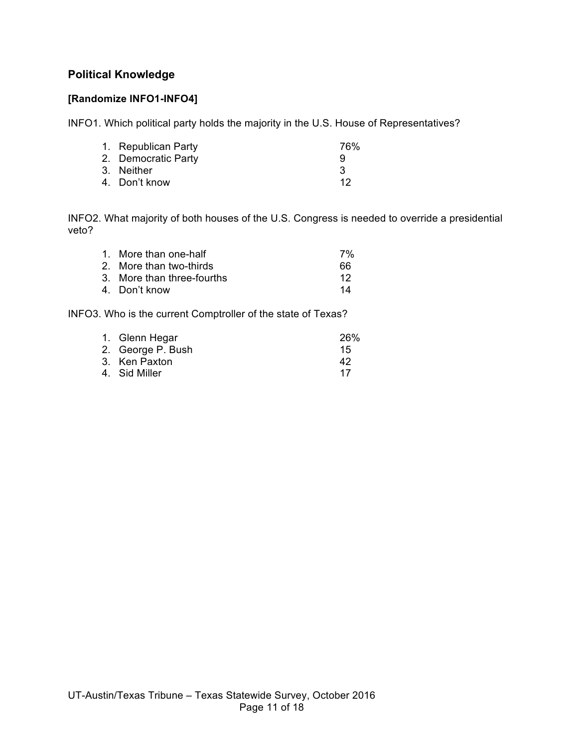# **Political Knowledge**

# **[Randomize INFO1-INFO4]**

INFO1. Which political party holds the majority in the U.S. House of Representatives?

| 76%                                                                       |
|---------------------------------------------------------------------------|
| 9                                                                         |
| 3                                                                         |
| -12                                                                       |
| 1. Republican Party<br>2. Democratic Party<br>3. Neither<br>4. Don't know |

INFO2. What majority of both houses of the U.S. Congress is needed to override a presidential veto?

| 1. More than one-half      | 7% |
|----------------------------|----|
| 2. More than two-thirds    | 66 |
| 3. More than three-fourths | 12 |
| 4. Don't know              | 14 |

INFO3. Who is the current Comptroller of the state of Texas?

| 1. Glenn Hegar    | 26% |
|-------------------|-----|
| 2. George P. Bush | 15  |
| 3. Ken Paxton     | 42  |
| 4. Sid Miller     | 17  |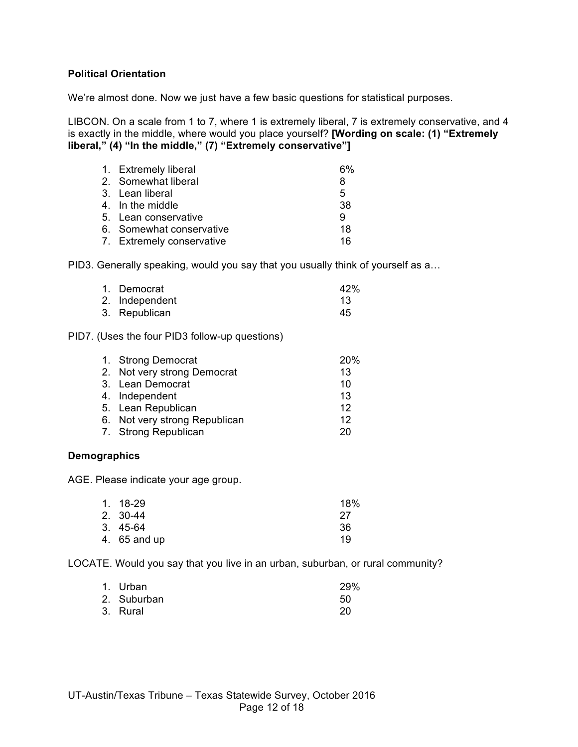## **Political Orientation**

We're almost done. Now we just have a few basic questions for statistical purposes.

LIBCON. On a scale from 1 to 7, where 1 is extremely liberal, 7 is extremely conservative, and 4 is exactly in the middle, where would you place yourself? **[Wording on scale: (1) "Extremely liberal," (4) "In the middle," (7) "Extremely conservative"]**

| 1. Extremely liberal      | 6% |
|---------------------------|----|
| 2. Somewhat liberal       | 8  |
| 3. Lean liberal           | 5  |
| 4. In the middle          | 38 |
| 5. Lean conservative      | 9  |
| 6. Somewhat conservative  | 18 |
| 7. Extremely conservative | 16 |

PID3. Generally speaking, would you say that you usually think of yourself as a…

| 1. Democrat    | 42% |
|----------------|-----|
| 2. Independent | 13  |
| 3. Republican  | 45  |

#### PID7. (Uses the four PID3 follow-up questions)

| 1. Strong Democrat            | <b>20%</b> |
|-------------------------------|------------|
| 2. Not very strong Democrat   | 13         |
| 3. Lean Democrat              | 10         |
| 4. Independent                | 13         |
| 5. Lean Republican            | 12         |
| 6. Not very strong Republican | 12         |
| 7. Strong Republican          | 20         |
|                               |            |

#### **Demographics**

AGE. Please indicate your age group.

| 1. 18-29     | 18% |
|--------------|-----|
| 2. 30-44     | -27 |
| $3.45-64$    | 36  |
| 4. 65 and up | 19  |

LOCATE. Would you say that you live in an urban, suburban, or rural community?

| 1. Urban    | 29% |
|-------------|-----|
| 2. Suburban | 50  |
| 3. Rural    | 20  |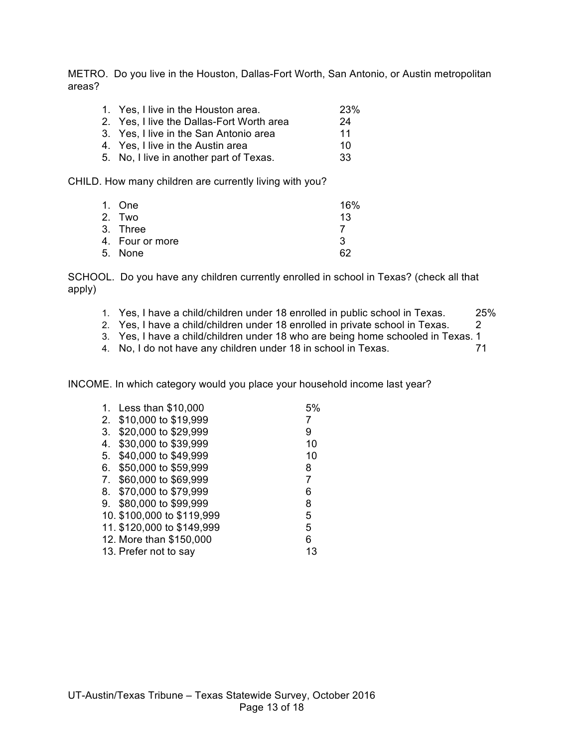METRO. Do you live in the Houston, Dallas-Fort Worth, San Antonio, or Austin metropolitan areas?

| 1. Yes, I live in the Houston area.       | <b>23%</b> |
|-------------------------------------------|------------|
| 2. Yes, I live the Dallas-Fort Worth area | 24         |
| 3. Yes, I live in the San Antonio area    | 11         |
| 4. Yes, I live in the Austin area         | 10         |
| 5. No, I live in another part of Texas.   | 33         |

CHILD. How many children are currently living with you?

| 1. One          | 16% |
|-----------------|-----|
| 2. Two          | 13  |
| 3. Three        |     |
| 4. Four or more | 3   |
| 5. None         | 62  |

SCHOOL. Do you have any children currently enrolled in school in Texas? (check all that apply)

- 1. Yes, I have a child/children under 18 enrolled in public school in Texas. 25%
- 2. Yes, I have a child/children under 18 enrolled in private school in Texas. 2
- 3. Yes, I have a child/children under 18 who are being home schooled in Texas. 1
- 4. No, I do not have any children under 18 in school in Texas. 71

INCOME. In which category would you place your household income last year?

| 1. | Less than \$10,000         | 5% |
|----|----------------------------|----|
| 2. | \$10,000 to \$19,999       |    |
| 3. | \$20,000 to \$29,999       | 9  |
| 4. | \$30,000 to \$39,999       | 10 |
| 5. | \$40,000 to \$49,999       | 10 |
| 6. | \$50,000 to \$59,999       | 8  |
| 7. | \$60,000 to \$69,999       | 7  |
| 8. | \$70,000 to \$79,999       | 6  |
|    | 9. \$80,000 to \$99,999    | 8  |
|    | 10. \$100,000 to \$119,999 | 5  |
|    | 11. \$120,000 to \$149,999 | 5  |
|    | 12. More than \$150,000    | 6  |
|    | 13. Prefer not to say      | 13 |
|    |                            |    |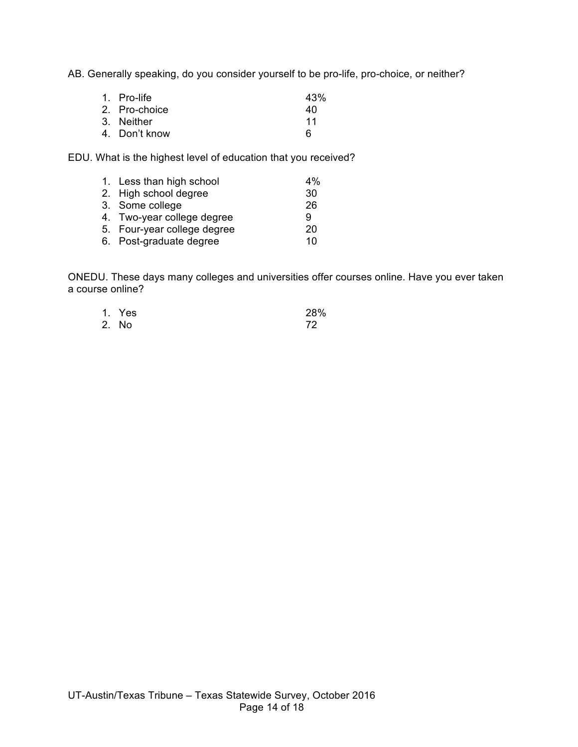AB. Generally speaking, do you consider yourself to be pro-life, pro-choice, or neither?

| 1. Pro-life   | 43% |
|---------------|-----|
| 2. Pro-choice | 40  |
| 3. Neither    | 11  |
| 4. Don't know | 6   |

EDU. What is the highest level of education that you received?

| 1. Less than high school    | $4\%$ |
|-----------------------------|-------|
| 2. High school degree       | 30    |
| 3. Some college             | 26    |
| 4. Two-year college degree  | 9     |
| 5. Four-year college degree | 20    |
| 6. Post-graduate degree     | 10    |
|                             |       |

ONEDU. These days many colleges and universities offer courses online. Have you ever taken a course online?

| 1. Yes | 28% |
|--------|-----|
| 2. No  | 72  |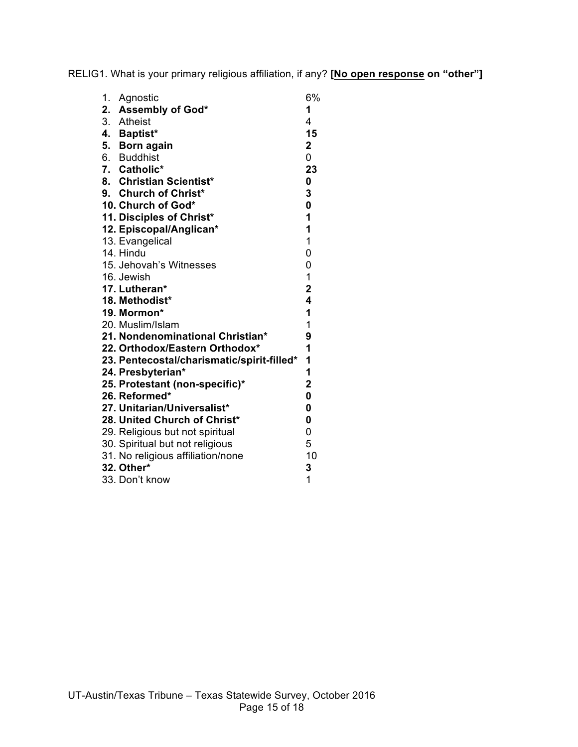RELIG1. What is your primary religious affiliation, if any? **[No open response on "other"]**

| 1. | Agnostic                                   | 6%                      |
|----|--------------------------------------------|-------------------------|
|    | 2. Assembly of God*                        | 1                       |
|    | 3. Atheist                                 | $\overline{4}$          |
|    | 4. Baptist*                                | 15                      |
|    | 5. Born again                              | $\mathbf 2$             |
|    | 6. Buddhist                                | 0                       |
|    | 7. Catholic*                               | 23                      |
|    | 8. Christian Scientist*                    | 0                       |
|    | 9. Church of Christ*                       | 3                       |
|    | 10. Church of God*                         | 0                       |
|    | 11. Disciples of Christ*                   | 1                       |
|    | 12. Episcopal/Anglican*                    | 1                       |
|    | 13. Evangelical                            | $\overline{1}$          |
|    | 14. Hindu                                  | 0                       |
|    | 15. Jehovah's Witnesses                    | 0                       |
|    | 16. Jewish                                 | $\mathbf{1}$            |
|    | 17. Lutheran*                              | $\overline{\mathbf{2}}$ |
|    | 18. Methodist*                             | $\overline{\mathbf{4}}$ |
|    | 19. Mormon*                                | 1                       |
|    | 20. Muslim/Islam                           | 1                       |
|    | 21. Nondenominational Christian*           | 9                       |
|    | 22. Orthodox/Eastern Orthodox*             | 1                       |
|    | 23. Pentecostal/charismatic/spirit-filled* | 1                       |
|    | 24. Presbyterian*                          | 1                       |
|    | 25. Protestant (non-specific)*             | $\mathbf 2$             |
|    | 26. Reformed*                              | 0                       |
|    | 27. Unitarian/Universalist*                | 0                       |
|    | 28. United Church of Christ*               | 0                       |
|    | 29. Religious but not spiritual            | 0                       |
|    | 30. Spiritual but not religious            | 5                       |
|    | 31. No religious affiliation/none          | 10                      |
|    | 32. Other*                                 | 3                       |
|    | 33. Don't know                             | 1                       |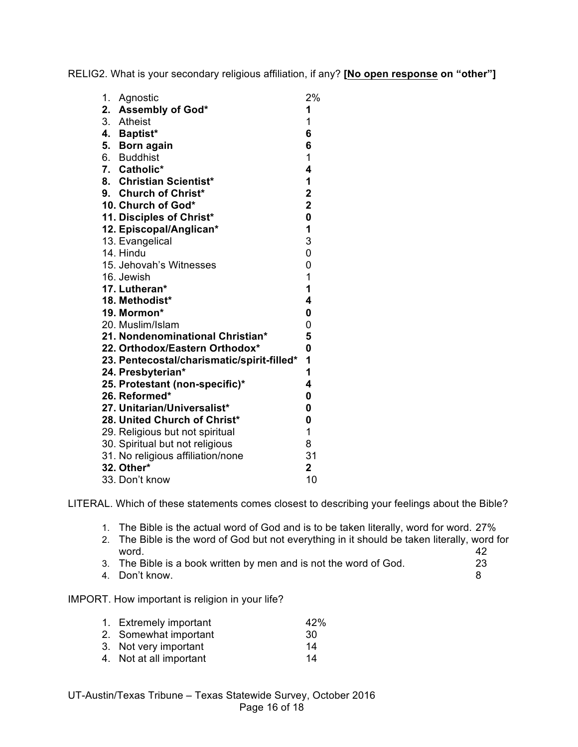RELIG2. What is your secondary religious affiliation, if any? **[No open response on "other"]**

| 1. Agnostic                                | 2%                      |
|--------------------------------------------|-------------------------|
| 2. Assembly of God*                        | 1                       |
| 3. Atheist                                 | 1                       |
| 4. Baptist*                                | 6                       |
| 5. Born again                              | 6                       |
| 6. Buddhist                                | $\mathbf 1$             |
| 7. Catholic*                               | 4                       |
| 8. Christian Scientist*                    | 1                       |
| 9. Church of Christ*                       | $\mathbf 2$             |
| 10. Church of God*                         | $\mathbf 2$             |
| 11. Disciples of Christ*                   | $\mathbf 0$             |
| 12. Episcopal/Anglican*                    | 1                       |
| 13. Evangelical                            | 3                       |
| 14. Hindu                                  | 0                       |
| 15. Jehovah's Witnesses                    | 0                       |
| 16. Jewish                                 | $\mathbf 1$             |
| 17. Lutheran*                              | $\mathbf 1$             |
| 18. Methodist*                             | $\overline{\mathbf{4}}$ |
| 19. Mormon*                                | 0                       |
| 20. Muslim/Islam                           | 0                       |
| 21. Nondenominational Christian*           | 5                       |
| 22. Orthodox/Eastern Orthodox*             | $\mathbf{0}$            |
| 23. Pentecostal/charismatic/spirit-filled* | 1                       |
| 24. Presbyterian*                          | 1                       |
| 25. Protestant (non-specific)*             | 4                       |
| 26. Reformed*                              | $\mathbf 0$             |
| 27. Unitarian/Universalist*                | 0                       |
| 28. United Church of Christ*               | 0                       |
| 29. Religious but not spiritual            | 1                       |
| 30. Spiritual but not religious            | 8                       |
| 31. No religious affiliation/none          | 31                      |
| 32. Other*                                 | $\overline{2}$          |
| 33. Don't know                             | 10                      |

LITERAL. Which of these statements comes closest to describing your feelings about the Bible?

- 1. The Bible is the actual word of God and is to be taken literally, word for word. 27%
- 2. The Bible is the word of God but not everything in it should be taken literally, word for word. 42
- 3. The Bible is a book written by men and is not the word of God. 23
- 4. Don't know. 8

IMPORT. How important is religion in your life?

| 1. Extremely important  | 42% |
|-------------------------|-----|
| 2. Somewhat important   | 30  |
| 3. Not very important   | 14  |
| 4. Not at all important | 14  |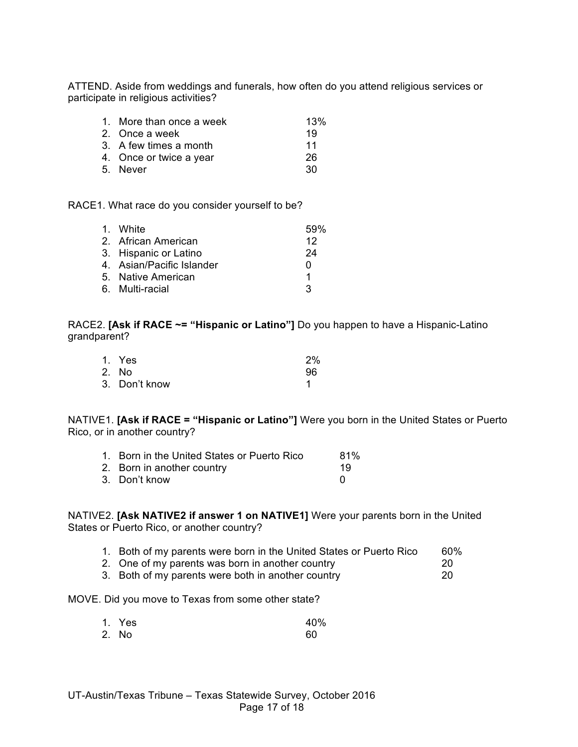ATTEND. Aside from weddings and funerals, how often do you attend religious services or participate in religious activities?

| 1. More than once a week | 13% |
|--------------------------|-----|
| 2. Once a week           | 19  |
| 3. A few times a month   | 11  |
| 4. Once or twice a year  | 26  |
| 5. Never                 | 30  |

RACE1. What race do you consider yourself to be?

| 1. White                  | .59% |
|---------------------------|------|
| 2. African American       | 12   |
| 3. Hispanic or Latino     | 24   |
| 4. Asian/Pacific Islander | O    |
| 5. Native American        | 1    |
| 6. Multi-racial           | 3    |

RACE2. **[Ask if RACE ~= "Hispanic or Latino"]** Do you happen to have a Hispanic-Latino grandparent?

| 1. Yes        | 2% |
|---------------|----|
| 2. No         | 96 |
| 3. Don't know |    |

NATIVE1. **[Ask if RACE = "Hispanic or Latino"]** Were you born in the United States or Puerto Rico, or in another country?

| 1. Born in the United States or Puerto Rico | 81% |
|---------------------------------------------|-----|
| 2. Born in another country                  | 19  |
| 3. Don't know                               |     |

NATIVE2. **[Ask NATIVE2 if answer 1 on NATIVE1]** Were your parents born in the United States or Puerto Rico, or another country?

|  |  |  |  |  |  | 1. Both of my parents were born in the United States or Puerto Rico |  | 60% |
|--|--|--|--|--|--|---------------------------------------------------------------------|--|-----|
|--|--|--|--|--|--|---------------------------------------------------------------------|--|-----|

- 2. One of my parents was born in another country 20<br>3. Both of my parents were both in another country 20
- 3. Both of my parents were both in another country

MOVE. Did you move to Texas from some other state?

| 1. Yes | 40% |
|--------|-----|
| 2. No  | 60  |